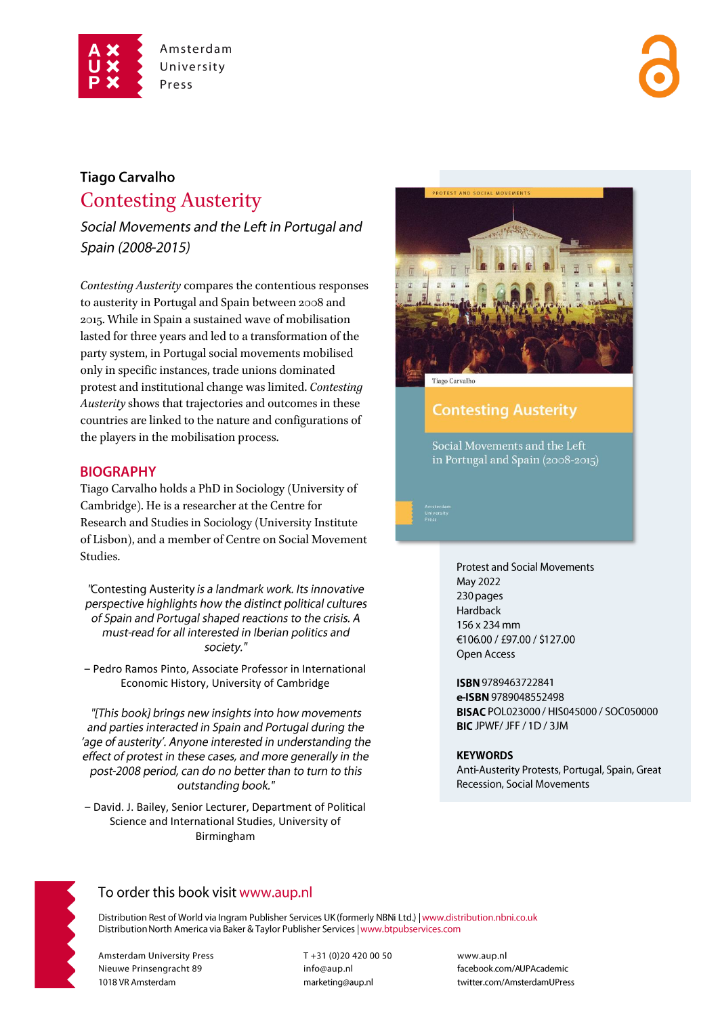

# **Tiago Carvalho Contesting Austerity**

Social Movements and the Left in Portugal and Spain (2008-2015)

Contesting Austerity compares the contentious responses to austerity in Portugal and Spain between 2008 and 2015. While in Spain a sustained wave of mobilisation lasted for three years and led to a transformation of the party system, in Portugal social movements mobilised only in specific instances, trade unions dominated protest and institutional change was limited. Contesting Austerity shows that trajectories and outcomes in these countries are linked to the nature and configurations of the players in the mobilisation process.

### **BIOGRAPHY**

Tiago Carvalho holds a PhD in Sociology (University of Cambridge). He is a researcher at the Centre for Research and Studies in Sociology (University Institute of Lisbon), and a member of Centre on Social Movement Studies.

"Contesting Austerity is a landmark work. Its innovative perspective highlights how the distinct political cultures of Spain and Portugal shaped reactions to the crisis. A must-read for all interested in Iberian politics and society."

- Pedro Ramos Pinto, Associate Professor in International Economic History, University of Cambridge

"[This book] brings new insights into how movements and parties interacted in Spain and Portugal during the 'age of austerity'. Anyone interested in understanding the effect of protest in these cases, and more generally in the post-2008 period, can do no better than to turn to this outstanding book."

- David. J. Bailey, Senior Lecturer, Department of Political Science and International Studies, University of Birmingham



**Contesting Austerity** 

Social Movements and the Left in Portugal and Spain (2008-2015)

> **Protest and Social Movements** May 2022 230 pages Hardback 156 x 234 mm €106.00 / £97.00 / \$127.00 Open Access

ISBN 9789463722841 e-ISBN 9789048552498 BISAC POL023000 / HIS045000 / SOC050000 BIC JPWF/ JFF / 1D / 3JM

#### **KEYWORDS**

Anti-Austerity Protests, Portugal, Spain, Great Recession, Social Movements



# To order this book visit www.aup.nl

Distribution Rest of World via Ingram Publisher Services UK (formerly NBNi Ltd.) | www.distribution.nbni.co.uk Distribution North America via Baker & Taylor Publisher Services | www.btpubservices.com

**Amsterdam University Press** Nieuwe Prinsengracht 89 1018 VR Amsterdam

T+31 (0)20 420 00 50 info@aup.nl marketing@aup.nl

www.aup.nl facebook.com/AUPAcademic twitter.com/AmsterdamUPress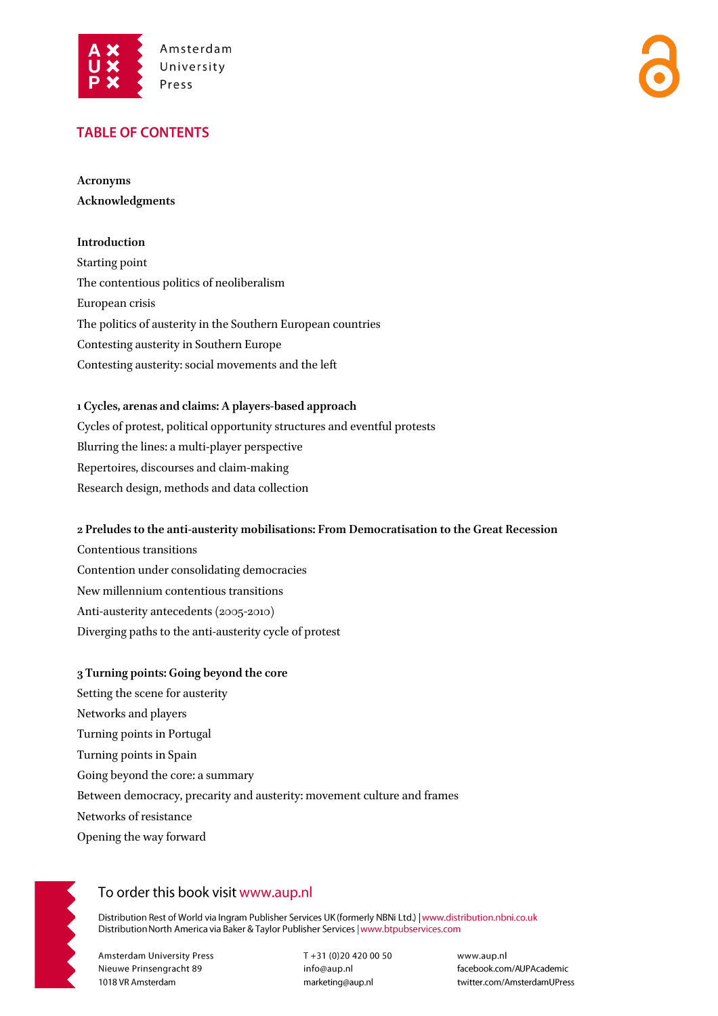

### **TABLE OF CONTENTS**

**Acronyms Acknowledgments** 

#### **Introduction**

Starting point The contentious politics of neoliberalism European crisis The politics of austerity in the Southern European countries Contesting austerity in Southern Europe Contesting austerity: social movements and the left

#### **1 Cycles, arenas and claims: A players-based approach**

Cycles of protest, political opportunity structures and eventful protests Blurring the lines: a multi-player perspective Repertoires, discourses and claim-making Research design, methods and data collection

#### **2 Preludes to the anti-austerity mobilisations: From Democratisation to the Great Recession**

Contentious transitions Contention under consolidating democracies New millennium contentious transitions Anti-austerity antecedents (2005-2010) Diverging paths to the anti-austerity cycle of protest

#### **3 Turning points: Going beyond the core**

Setting the scene for austerity Networks and players Turning points in Portugal Turning points in Spain Going beyond the core: a summary Between democracy, precarity and austerity: movement culture and frames Networks of resistance Opening the way forward



## To order this book visit www.aup.nl

Distribution Rest of World via Ingram Publisher Services UK (formerly NBNi Ltd.) | www.distribution.nbni.co.uk Distribution North America via Baker & Taylor Publisher Services | www.btpubservices.com

**Amsterdam University Press** Nieuwe Prinsengracht 89 1018 VR Amsterdam

T+31 (0)20 420 00 50 info@aup.nl marketing@aup.nl

www.aup.nl facebook.com/AUPAcademic twitter.com/AmsterdamUPress